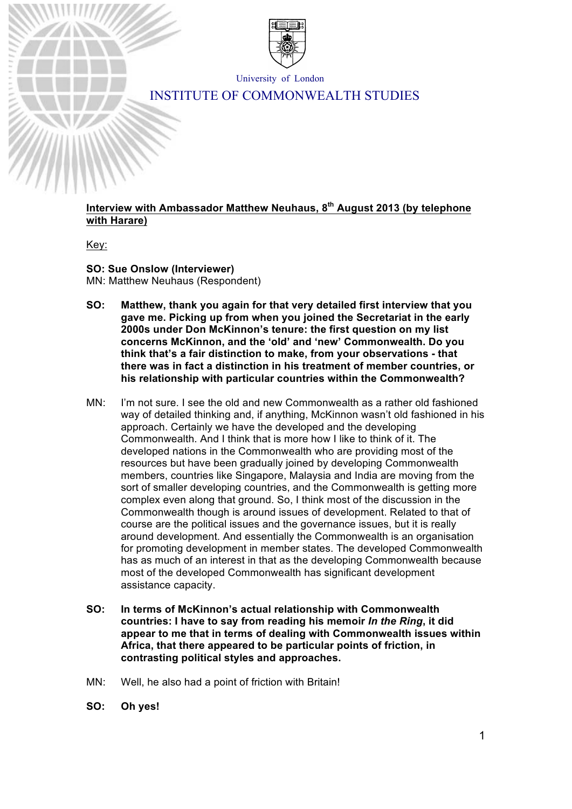

University of London

# INSTITUTE OF COMMONWEALTH STUDIES

# **Interview with Ambassador Matthew Neuhaus, 8th August 2013 (by telephone with Harare)**

Key:

**SO: Sue Onslow (Interviewer)** MN: Matthew Neuhaus (Respondent)

- **SO: Matthew, thank you again for that very detailed first interview that you gave me. Picking up from when you joined the Secretariat in the early 2000s under Don McKinnon's tenure: the first question on my list concerns McKinnon, and the 'old' and 'new' Commonwealth. Do you think that's a fair distinction to make, from your observations - that there was in fact a distinction in his treatment of member countries, or his relationship with particular countries within the Commonwealth?**
- MN: I'm not sure. I see the old and new Commonwealth as a rather old fashioned way of detailed thinking and, if anything, McKinnon wasn't old fashioned in his approach. Certainly we have the developed and the developing Commonwealth. And I think that is more how I like to think of it. The developed nations in the Commonwealth who are providing most of the resources but have been gradually joined by developing Commonwealth members, countries like Singapore, Malaysia and India are moving from the sort of smaller developing countries, and the Commonwealth is getting more complex even along that ground. So, I think most of the discussion in the Commonwealth though is around issues of development. Related to that of course are the political issues and the governance issues, but it is really around development. And essentially the Commonwealth is an organisation for promoting development in member states. The developed Commonwealth has as much of an interest in that as the developing Commonwealth because most of the developed Commonwealth has significant development assistance capacity.
- **SO: In terms of McKinnon's actual relationship with Commonwealth countries: I have to say from reading his memoir** *In the Ring***, it did appear to me that in terms of dealing with Commonwealth issues within Africa, that there appeared to be particular points of friction, in contrasting political styles and approaches.**
- MN: Well, he also had a point of friction with Britain!
- **SO: Oh yes!**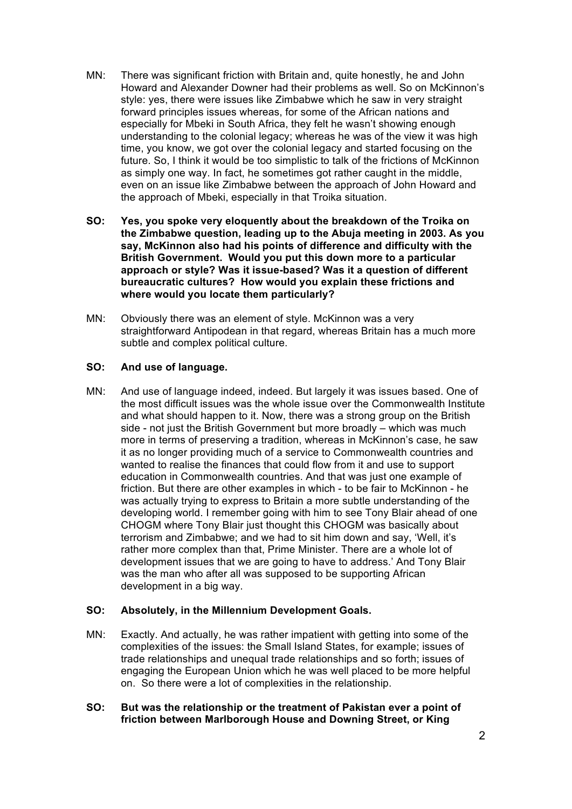- MN: There was significant friction with Britain and, quite honestly, he and John Howard and Alexander Downer had their problems as well. So on McKinnon's style: yes, there were issues like Zimbabwe which he saw in very straight forward principles issues whereas, for some of the African nations and especially for Mbeki in South Africa, they felt he wasn't showing enough understanding to the colonial legacy; whereas he was of the view it was high time, you know, we got over the colonial legacy and started focusing on the future. So, I think it would be too simplistic to talk of the frictions of McKinnon as simply one way. In fact, he sometimes got rather caught in the middle, even on an issue like Zimbabwe between the approach of John Howard and the approach of Mbeki, especially in that Troika situation.
- **SO: Yes, you spoke very eloquently about the breakdown of the Troika on the Zimbabwe question, leading up to the Abuja meeting in 2003. As you say, McKinnon also had his points of difference and difficulty with the British Government. Would you put this down more to a particular approach or style? Was it issue-based? Was it a question of different bureaucratic cultures? How would you explain these frictions and where would you locate them particularly?**
- MN: Obviously there was an element of style. McKinnon was a very straightforward Antipodean in that regard, whereas Britain has a much more subtle and complex political culture.

# **SO: And use of language.**

MN: And use of language indeed, indeed. But largely it was issues based. One of the most difficult issues was the whole issue over the Commonwealth Institute and what should happen to it. Now, there was a strong group on the British side - not just the British Government but more broadly – which was much more in terms of preserving a tradition, whereas in McKinnon's case, he saw it as no longer providing much of a service to Commonwealth countries and wanted to realise the finances that could flow from it and use to support education in Commonwealth countries. And that was just one example of friction. But there are other examples in which - to be fair to McKinnon - he was actually trying to express to Britain a more subtle understanding of the developing world. I remember going with him to see Tony Blair ahead of one CHOGM where Tony Blair just thought this CHOGM was basically about terrorism and Zimbabwe; and we had to sit him down and say, 'Well, it's rather more complex than that, Prime Minister. There are a whole lot of development issues that we are going to have to address.' And Tony Blair was the man who after all was supposed to be supporting African development in a big way.

#### **SO: Absolutely, in the Millennium Development Goals.**

- MN: Exactly. And actually, he was rather impatient with getting into some of the complexities of the issues: the Small Island States, for example; issues of trade relationships and unequal trade relationships and so forth; issues of engaging the European Union which he was well placed to be more helpful on. So there were a lot of complexities in the relationship.
- **SO: But was the relationship or the treatment of Pakistan ever a point of friction between Marlborough House and Downing Street, or King**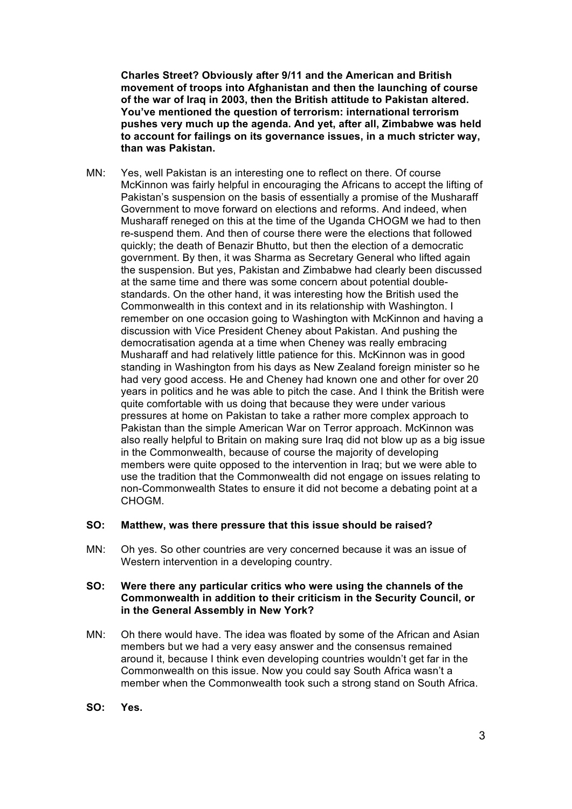**Charles Street? Obviously after 9/11 and the American and British movement of troops into Afghanistan and then the launching of course of the war of Iraq in 2003, then the British attitude to Pakistan altered. You've mentioned the question of terrorism: international terrorism pushes very much up the agenda. And yet, after all, Zimbabwe was held to account for failings on its governance issues, in a much stricter way, than was Pakistan.** 

MN: Yes, well Pakistan is an interesting one to reflect on there. Of course McKinnon was fairly helpful in encouraging the Africans to accept the lifting of Pakistan's suspension on the basis of essentially a promise of the Musharaff Government to move forward on elections and reforms. And indeed, when Musharaff reneged on this at the time of the Uganda CHOGM we had to then re-suspend them. And then of course there were the elections that followed quickly; the death of Benazir Bhutto, but then the election of a democratic government. By then, it was Sharma as Secretary General who lifted again the suspension. But yes, Pakistan and Zimbabwe had clearly been discussed at the same time and there was some concern about potential doublestandards. On the other hand, it was interesting how the British used the Commonwealth in this context and in its relationship with Washington. I remember on one occasion going to Washington with McKinnon and having a discussion with Vice President Cheney about Pakistan. And pushing the democratisation agenda at a time when Cheney was really embracing Musharaff and had relatively little patience for this. McKinnon was in good standing in Washington from his days as New Zealand foreign minister so he had very good access. He and Cheney had known one and other for over 20 years in politics and he was able to pitch the case. And I think the British were quite comfortable with us doing that because they were under various pressures at home on Pakistan to take a rather more complex approach to Pakistan than the simple American War on Terror approach. McKinnon was also really helpful to Britain on making sure Iraq did not blow up as a big issue in the Commonwealth, because of course the majority of developing members were quite opposed to the intervention in Iraq; but we were able to use the tradition that the Commonwealth did not engage on issues relating to non-Commonwealth States to ensure it did not become a debating point at a CHOGM.

# **SO: Matthew, was there pressure that this issue should be raised?**

MN: Oh yes. So other countries are very concerned because it was an issue of Western intervention in a developing country.

#### **SO: Were there any particular critics who were using the channels of the Commonwealth in addition to their criticism in the Security Council, or in the General Assembly in New York?**

- MN: Oh there would have. The idea was floated by some of the African and Asian members but we had a very easy answer and the consensus remained around it, because I think even developing countries wouldn't get far in the Commonwealth on this issue. Now you could say South Africa wasn't a member when the Commonwealth took such a strong stand on South Africa.
- **SO: Yes.**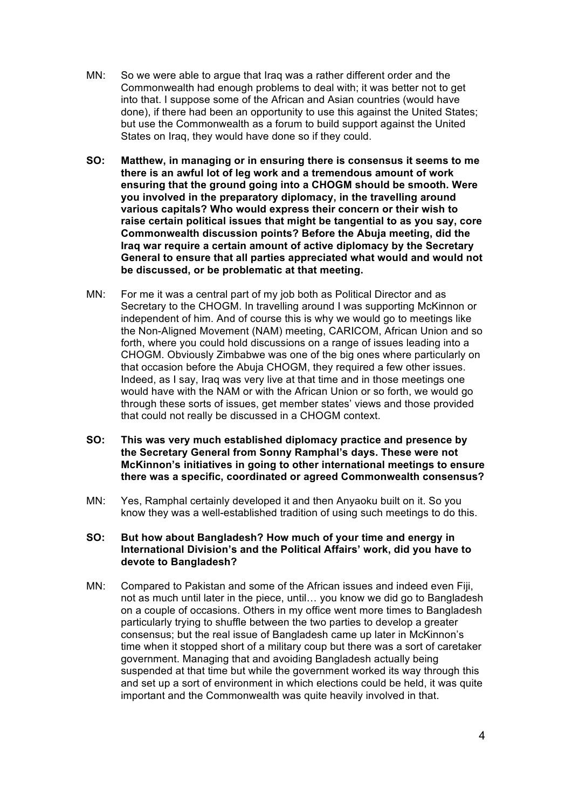- MN: So we were able to argue that Iraq was a rather different order and the Commonwealth had enough problems to deal with; it was better not to get into that. I suppose some of the African and Asian countries (would have done), if there had been an opportunity to use this against the United States; but use the Commonwealth as a forum to build support against the United States on Iraq, they would have done so if they could.
- **SO: Matthew, in managing or in ensuring there is consensus it seems to me there is an awful lot of leg work and a tremendous amount of work ensuring that the ground going into a CHOGM should be smooth. Were you involved in the preparatory diplomacy, in the travelling around various capitals? Who would express their concern or their wish to raise certain political issues that might be tangential to as you say, core Commonwealth discussion points? Before the Abuja meeting, did the Iraq war require a certain amount of active diplomacy by the Secretary General to ensure that all parties appreciated what would and would not be discussed, or be problematic at that meeting.**
- MN: For me it was a central part of my job both as Political Director and as Secretary to the CHOGM. In travelling around I was supporting McKinnon or independent of him. And of course this is why we would go to meetings like the Non-Aligned Movement (NAM) meeting, CARICOM, African Union and so forth, where you could hold discussions on a range of issues leading into a CHOGM. Obviously Zimbabwe was one of the big ones where particularly on that occasion before the Abuja CHOGM, they required a few other issues. Indeed, as I say, Iraq was very live at that time and in those meetings one would have with the NAM or with the African Union or so forth, we would go through these sorts of issues, get member states' views and those provided that could not really be discussed in a CHOGM context.
- **SO: This was very much established diplomacy practice and presence by the Secretary General from Sonny Ramphal's days. These were not McKinnon's initiatives in going to other international meetings to ensure there was a specific, coordinated or agreed Commonwealth consensus?**
- MN: Yes, Ramphal certainly developed it and then Anyaoku built on it. So you know they was a well-established tradition of using such meetings to do this.

#### **SO: But how about Bangladesh? How much of your time and energy in International Division's and the Political Affairs' work, did you have to devote to Bangladesh?**

MN: Compared to Pakistan and some of the African issues and indeed even Fiji, not as much until later in the piece, until… you know we did go to Bangladesh on a couple of occasions. Others in my office went more times to Bangladesh particularly trying to shuffle between the two parties to develop a greater consensus; but the real issue of Bangladesh came up later in McKinnon's time when it stopped short of a military coup but there was a sort of caretaker government. Managing that and avoiding Bangladesh actually being suspended at that time but while the government worked its way through this and set up a sort of environment in which elections could be held, it was quite important and the Commonwealth was quite heavily involved in that.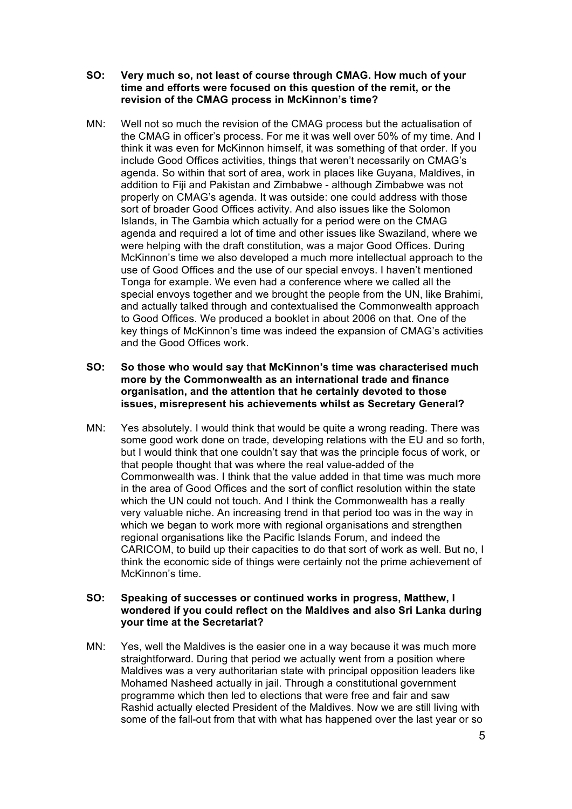- **SO: Very much so, not least of course through CMAG. How much of your time and efforts were focused on this question of the remit, or the revision of the CMAG process in McKinnon's time?**
- MN: Well not so much the revision of the CMAG process but the actualisation of the CMAG in officer's process. For me it was well over 50% of my time. And I think it was even for McKinnon himself, it was something of that order. If you include Good Offices activities, things that weren't necessarily on CMAG's agenda. So within that sort of area, work in places like Guyana, Maldives, in addition to Fiji and Pakistan and Zimbabwe - although Zimbabwe was not properly on CMAG's agenda. It was outside: one could address with those sort of broader Good Offices activity. And also issues like the Solomon Islands, in The Gambia which actually for a period were on the CMAG agenda and required a lot of time and other issues like Swaziland, where we were helping with the draft constitution, was a major Good Offices. During McKinnon's time we also developed a much more intellectual approach to the use of Good Offices and the use of our special envoys. I haven't mentioned Tonga for example. We even had a conference where we called all the special envoys together and we brought the people from the UN, like Brahimi, and actually talked through and contextualised the Commonwealth approach to Good Offices. We produced a booklet in about 2006 on that. One of the key things of McKinnon's time was indeed the expansion of CMAG's activities and the Good Offices work.
- **SO: So those who would say that McKinnon's time was characterised much more by the Commonwealth as an international trade and finance organisation, and the attention that he certainly devoted to those issues, misrepresent his achievements whilst as Secretary General?**
- MN: Yes absolutely. I would think that would be quite a wrong reading. There was some good work done on trade, developing relations with the EU and so forth, but I would think that one couldn't say that was the principle focus of work, or that people thought that was where the real value-added of the Commonwealth was. I think that the value added in that time was much more in the area of Good Offices and the sort of conflict resolution within the state which the UN could not touch. And I think the Commonwealth has a really very valuable niche. An increasing trend in that period too was in the way in which we began to work more with regional organisations and strengthen regional organisations like the Pacific Islands Forum, and indeed the CARICOM, to build up their capacities to do that sort of work as well. But no, I think the economic side of things were certainly not the prime achievement of McKinnon's time.

# **SO: Speaking of successes or continued works in progress, Matthew, I wondered if you could reflect on the Maldives and also Sri Lanka during your time at the Secretariat?**

MN: Yes, well the Maldives is the easier one in a way because it was much more straightforward. During that period we actually went from a position where Maldives was a very authoritarian state with principal opposition leaders like Mohamed Nasheed actually in jail. Through a constitutional government programme which then led to elections that were free and fair and saw Rashid actually elected President of the Maldives. Now we are still living with some of the fall-out from that with what has happened over the last year or so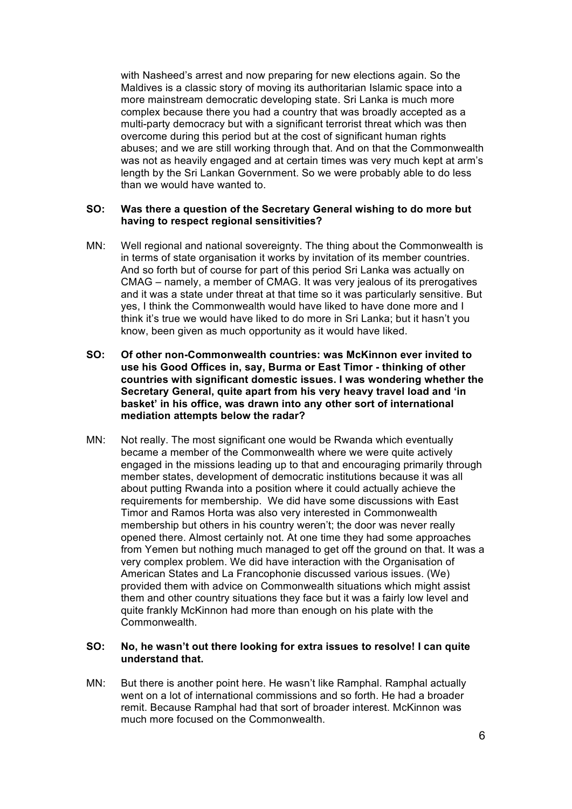with Nasheed's arrest and now preparing for new elections again. So the Maldives is a classic story of moving its authoritarian Islamic space into a more mainstream democratic developing state. Sri Lanka is much more complex because there you had a country that was broadly accepted as a multi-party democracy but with a significant terrorist threat which was then overcome during this period but at the cost of significant human rights abuses; and we are still working through that. And on that the Commonwealth was not as heavily engaged and at certain times was very much kept at arm's length by the Sri Lankan Government. So we were probably able to do less than we would have wanted to.

#### **SO: Was there a question of the Secretary General wishing to do more but having to respect regional sensitivities?**

- MN: Well regional and national sovereignty. The thing about the Commonwealth is in terms of state organisation it works by invitation of its member countries. And so forth but of course for part of this period Sri Lanka was actually on CMAG – namely, a member of CMAG. It was very jealous of its prerogatives and it was a state under threat at that time so it was particularly sensitive. But yes, I think the Commonwealth would have liked to have done more and I think it's true we would have liked to do more in Sri Lanka; but it hasn't you know, been given as much opportunity as it would have liked.
- **SO: Of other non-Commonwealth countries: was McKinnon ever invited to use his Good Offices in, say, Burma or East Timor - thinking of other countries with significant domestic issues. I was wondering whether the Secretary General, quite apart from his very heavy travel load and 'in basket' in his office, was drawn into any other sort of international mediation attempts below the radar?**
- MN: Not really. The most significant one would be Rwanda which eventually became a member of the Commonwealth where we were quite actively engaged in the missions leading up to that and encouraging primarily through member states, development of democratic institutions because it was all about putting Rwanda into a position where it could actually achieve the requirements for membership. We did have some discussions with East Timor and Ramos Horta was also very interested in Commonwealth membership but others in his country weren't; the door was never really opened there. Almost certainly not. At one time they had some approaches from Yemen but nothing much managed to get off the ground on that. It was a very complex problem. We did have interaction with the Organisation of American States and La Francophonie discussed various issues. (We) provided them with advice on Commonwealth situations which might assist them and other country situations they face but it was a fairly low level and quite frankly McKinnon had more than enough on his plate with the Commonwealth.

#### **SO: No, he wasn't out there looking for extra issues to resolve! I can quite understand that.**

MN: But there is another point here. He wasn't like Ramphal. Ramphal actually went on a lot of international commissions and so forth. He had a broader remit. Because Ramphal had that sort of broader interest. McKinnon was much more focused on the Commonwealth.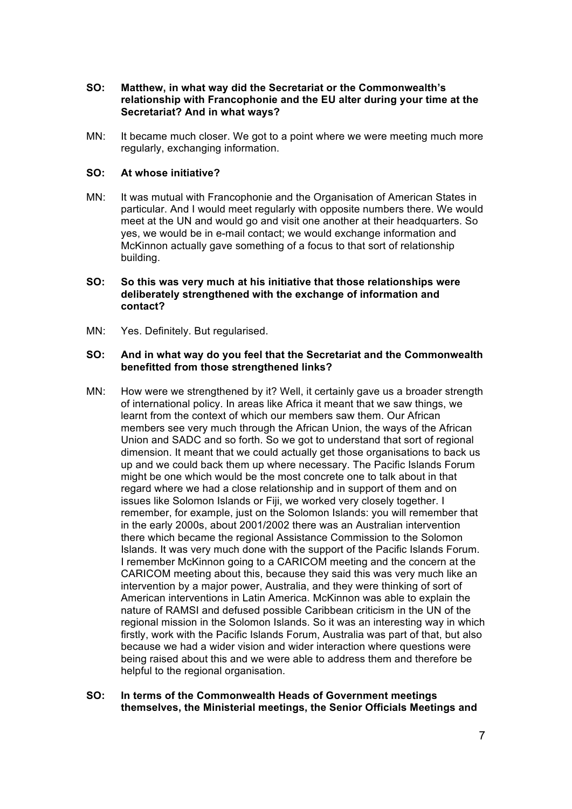#### **SO: Matthew, in what way did the Secretariat or the Commonwealth's relationship with Francophonie and the EU alter during your time at the Secretariat? And in what ways?**

MN: It became much closer. We got to a point where we were meeting much more regularly, exchanging information.

### **SO: At whose initiative?**

- MN: It was mutual with Francophonie and the Organisation of American States in particular. And I would meet regularly with opposite numbers there. We would meet at the UN and would go and visit one another at their headquarters. So yes, we would be in e-mail contact; we would exchange information and McKinnon actually gave something of a focus to that sort of relationship building.
- **SO: So this was very much at his initiative that those relationships were deliberately strengthened with the exchange of information and contact?**
- MN: Yes. Definitely. But regularised.

#### **SO: And in what way do you feel that the Secretariat and the Commonwealth benefitted from those strengthened links?**

- MN: How were we strengthened by it? Well, it certainly gave us a broader strength of international policy. In areas like Africa it meant that we saw things, we learnt from the context of which our members saw them. Our African members see very much through the African Union, the ways of the African Union and SADC and so forth. So we got to understand that sort of regional dimension. It meant that we could actually get those organisations to back us up and we could back them up where necessary. The Pacific Islands Forum might be one which would be the most concrete one to talk about in that regard where we had a close relationship and in support of them and on issues like Solomon Islands or Fiji, we worked very closely together. I remember, for example, just on the Solomon Islands: you will remember that in the early 2000s, about 2001/2002 there was an Australian intervention there which became the regional Assistance Commission to the Solomon Islands. It was very much done with the support of the Pacific Islands Forum. I remember McKinnon going to a CARICOM meeting and the concern at the CARICOM meeting about this, because they said this was very much like an intervention by a major power, Australia, and they were thinking of sort of American interventions in Latin America. McKinnon was able to explain the nature of RAMSI and defused possible Caribbean criticism in the UN of the regional mission in the Solomon Islands. So it was an interesting way in which firstly, work with the Pacific Islands Forum, Australia was part of that, but also because we had a wider vision and wider interaction where questions were being raised about this and we were able to address them and therefore be helpful to the regional organisation.
- **SO: In terms of the Commonwealth Heads of Government meetings themselves, the Ministerial meetings, the Senior Officials Meetings and**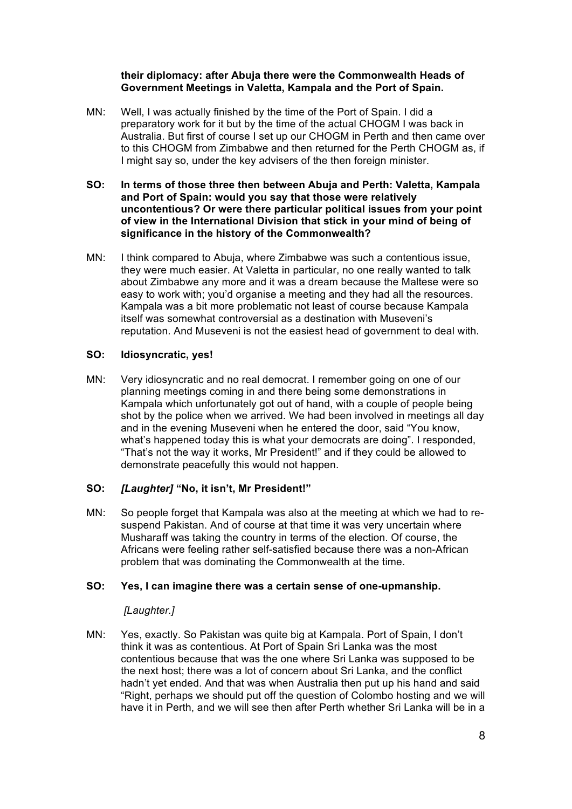### **their diplomacy: after Abuja there were the Commonwealth Heads of Government Meetings in Valetta, Kampala and the Port of Spain.**

- MN: Well, I was actually finished by the time of the Port of Spain. I did a preparatory work for it but by the time of the actual CHOGM I was back in Australia. But first of course I set up our CHOGM in Perth and then came over to this CHOGM from Zimbabwe and then returned for the Perth CHOGM as, if I might say so, under the key advisers of the then foreign minister.
- **SO: In terms of those three then between Abuja and Perth: Valetta, Kampala and Port of Spain: would you say that those were relatively uncontentious? Or were there particular political issues from your point of view in the International Division that stick in your mind of being of significance in the history of the Commonwealth?**
- MN: I think compared to Abuja, where Zimbabwe was such a contentious issue, they were much easier. At Valetta in particular, no one really wanted to talk about Zimbabwe any more and it was a dream because the Maltese were so easy to work with; you'd organise a meeting and they had all the resources. Kampala was a bit more problematic not least of course because Kampala itself was somewhat controversial as a destination with Museveni's reputation. And Museveni is not the easiest head of government to deal with.

# **SO: Idiosyncratic, yes!**

MN: Very idiosyncratic and no real democrat. I remember going on one of our planning meetings coming in and there being some demonstrations in Kampala which unfortunately got out of hand, with a couple of people being shot by the police when we arrived. We had been involved in meetings all day and in the evening Museveni when he entered the door, said "You know, what's happened today this is what your democrats are doing". I responded, "That's not the way it works, Mr President!" and if they could be allowed to demonstrate peacefully this would not happen.

# **SO:** *[Laughter]* **"No, it isn't, Mr President!"**

MN: So people forget that Kampala was also at the meeting at which we had to resuspend Pakistan. And of course at that time it was very uncertain where Musharaff was taking the country in terms of the election. Of course, the Africans were feeling rather self-satisfied because there was a non-African problem that was dominating the Commonwealth at the time.

# **SO: Yes, I can imagine there was a certain sense of one-upmanship.**

# *[Laughter.]*

MN: Yes, exactly. So Pakistan was quite big at Kampala. Port of Spain, I don't think it was as contentious. At Port of Spain Sri Lanka was the most contentious because that was the one where Sri Lanka was supposed to be the next host; there was a lot of concern about Sri Lanka, and the conflict hadn't yet ended. And that was when Australia then put up his hand and said "Right, perhaps we should put off the question of Colombo hosting and we will have it in Perth, and we will see then after Perth whether Sri Lanka will be in a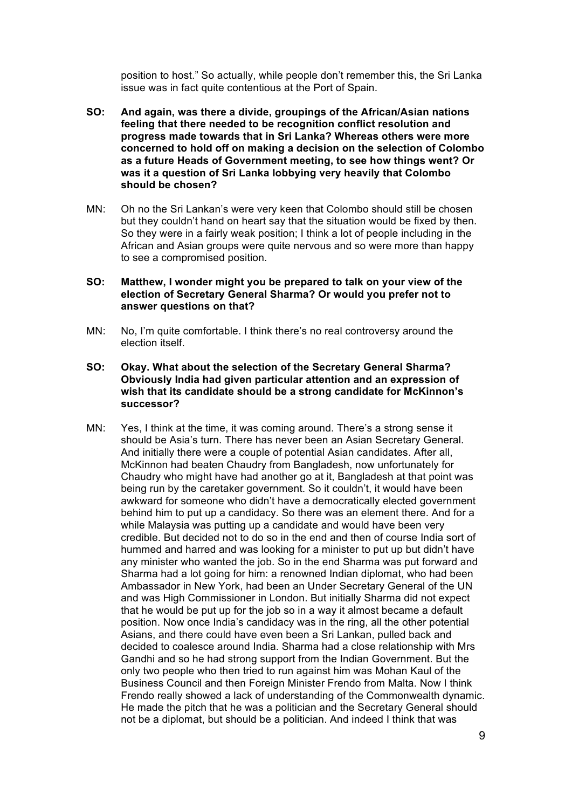position to host." So actually, while people don't remember this, the Sri Lanka issue was in fact quite contentious at the Port of Spain.

- **SO: And again, was there a divide, groupings of the African/Asian nations feeling that there needed to be recognition conflict resolution and progress made towards that in Sri Lanka? Whereas others were more concerned to hold off on making a decision on the selection of Colombo as a future Heads of Government meeting, to see how things went? Or was it a question of Sri Lanka lobbying very heavily that Colombo should be chosen?**
- MN: Oh no the Sri Lankan's were very keen that Colombo should still be chosen but they couldn't hand on heart say that the situation would be fixed by then. So they were in a fairly weak position; I think a lot of people including in the African and Asian groups were quite nervous and so were more than happy to see a compromised position.
- **SO: Matthew, I wonder might you be prepared to talk on your view of the election of Secretary General Sharma? Or would you prefer not to answer questions on that?**
- MN: No, I'm quite comfortable. I think there's no real controversy around the election itself.
- **SO: Okay. What about the selection of the Secretary General Sharma? Obviously India had given particular attention and an expression of wish that its candidate should be a strong candidate for McKinnon's successor?**
- MN: Yes, I think at the time, it was coming around. There's a strong sense it should be Asia's turn. There has never been an Asian Secretary General. And initially there were a couple of potential Asian candidates. After all, McKinnon had beaten Chaudry from Bangladesh, now unfortunately for Chaudry who might have had another go at it, Bangladesh at that point was being run by the caretaker government. So it couldn't, it would have been awkward for someone who didn't have a democratically elected government behind him to put up a candidacy. So there was an element there. And for a while Malaysia was putting up a candidate and would have been very credible. But decided not to do so in the end and then of course India sort of hummed and harred and was looking for a minister to put up but didn't have any minister who wanted the job. So in the end Sharma was put forward and Sharma had a lot going for him: a renowned Indian diplomat, who had been Ambassador in New York, had been an Under Secretary General of the UN and was High Commissioner in London. But initially Sharma did not expect that he would be put up for the job so in a way it almost became a default position. Now once India's candidacy was in the ring, all the other potential Asians, and there could have even been a Sri Lankan, pulled back and decided to coalesce around India. Sharma had a close relationship with Mrs Gandhi and so he had strong support from the Indian Government. But the only two people who then tried to run against him was Mohan Kaul of the Business Council and then Foreign Minister Frendo from Malta. Now I think Frendo really showed a lack of understanding of the Commonwealth dynamic. He made the pitch that he was a politician and the Secretary General should not be a diplomat, but should be a politician. And indeed I think that was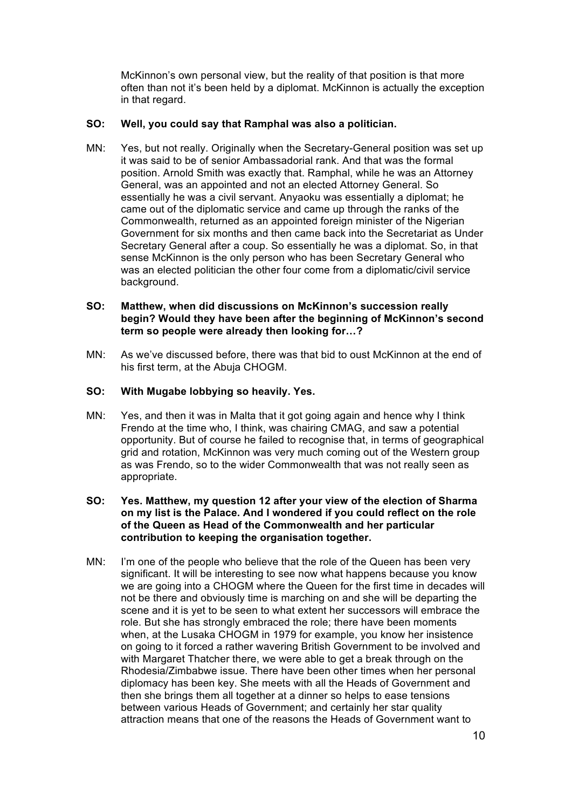McKinnon's own personal view, but the reality of that position is that more often than not it's been held by a diplomat. McKinnon is actually the exception in that regard.

### **SO: Well, you could say that Ramphal was also a politician.**

MN: Yes, but not really. Originally when the Secretary-General position was set up it was said to be of senior Ambassadorial rank. And that was the formal position. Arnold Smith was exactly that. Ramphal, while he was an Attorney General, was an appointed and not an elected Attorney General. So essentially he was a civil servant. Anyaoku was essentially a diplomat; he came out of the diplomatic service and came up through the ranks of the Commonwealth, returned as an appointed foreign minister of the Nigerian Government for six months and then came back into the Secretariat as Under Secretary General after a coup. So essentially he was a diplomat. So, in that sense McKinnon is the only person who has been Secretary General who was an elected politician the other four come from a diplomatic/civil service background.

### **SO: Matthew, when did discussions on McKinnon's succession really begin? Would they have been after the beginning of McKinnon's second term so people were already then looking for…?**

MN: As we've discussed before, there was that bid to oust McKinnon at the end of his first term, at the Abuja CHOGM.

# **SO: With Mugabe lobbying so heavily. Yes.**

- MN: Yes, and then it was in Malta that it got going again and hence why I think Frendo at the time who, I think, was chairing CMAG, and saw a potential opportunity. But of course he failed to recognise that, in terms of geographical grid and rotation, McKinnon was very much coming out of the Western group as was Frendo, so to the wider Commonwealth that was not really seen as appropriate.
- **SO: Yes. Matthew, my question 12 after your view of the election of Sharma on my list is the Palace. And I wondered if you could reflect on the role of the Queen as Head of the Commonwealth and her particular contribution to keeping the organisation together.**
- MN: I'm one of the people who believe that the role of the Queen has been very significant. It will be interesting to see now what happens because you know we are going into a CHOGM where the Queen for the first time in decades will not be there and obviously time is marching on and she will be departing the scene and it is yet to be seen to what extent her successors will embrace the role. But she has strongly embraced the role; there have been moments when, at the Lusaka CHOGM in 1979 for example, you know her insistence on going to it forced a rather wavering British Government to be involved and with Margaret Thatcher there, we were able to get a break through on the Rhodesia/Zimbabwe issue. There have been other times when her personal diplomacy has been key. She meets with all the Heads of Government and then she brings them all together at a dinner so helps to ease tensions between various Heads of Government; and certainly her star quality attraction means that one of the reasons the Heads of Government want to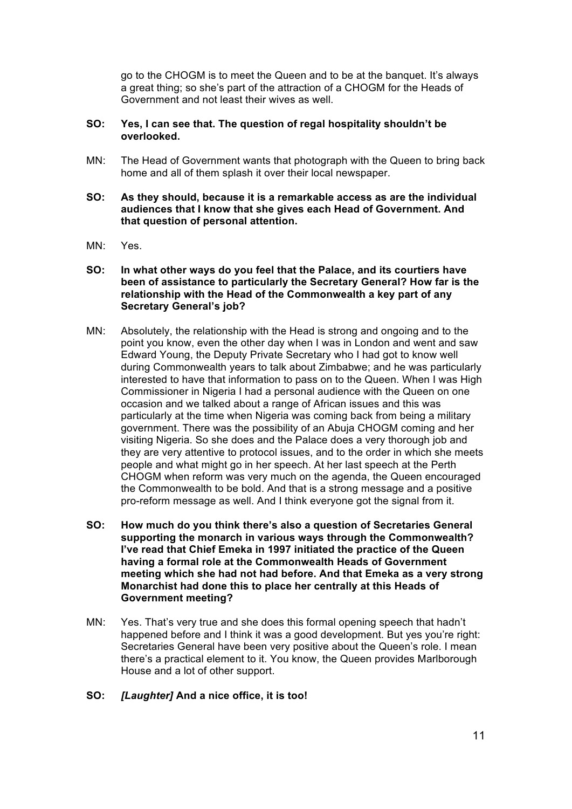go to the CHOGM is to meet the Queen and to be at the banquet. It's always a great thing; so she's part of the attraction of a CHOGM for the Heads of Government and not least their wives as well.

#### **SO: Yes, I can see that. The question of regal hospitality shouldn't be overlooked.**

- MN: The Head of Government wants that photograph with the Queen to bring back home and all of them splash it over their local newspaper.
- **SO: As they should, because it is a remarkable access as are the individual audiences that I know that she gives each Head of Government. And that question of personal attention.**
- MN: Yes.
- **SO: In what other ways do you feel that the Palace, and its courtiers have been of assistance to particularly the Secretary General? How far is the relationship with the Head of the Commonwealth a key part of any Secretary General's job?**
- MN: Absolutely, the relationship with the Head is strong and ongoing and to the point you know, even the other day when I was in London and went and saw Edward Young, the Deputy Private Secretary who I had got to know well during Commonwealth years to talk about Zimbabwe; and he was particularly interested to have that information to pass on to the Queen. When I was High Commissioner in Nigeria I had a personal audience with the Queen on one occasion and we talked about a range of African issues and this was particularly at the time when Nigeria was coming back from being a military government. There was the possibility of an Abuja CHOGM coming and her visiting Nigeria. So she does and the Palace does a very thorough job and they are very attentive to protocol issues, and to the order in which she meets people and what might go in her speech. At her last speech at the Perth CHOGM when reform was very much on the agenda, the Queen encouraged the Commonwealth to be bold. And that is a strong message and a positive pro-reform message as well. And I think everyone got the signal from it.
- **SO: How much do you think there's also a question of Secretaries General supporting the monarch in various ways through the Commonwealth? I've read that Chief Emeka in 1997 initiated the practice of the Queen having a formal role at the Commonwealth Heads of Government meeting which she had not had before. And that Emeka as a very strong Monarchist had done this to place her centrally at this Heads of Government meeting?**
- MN: Yes. That's very true and she does this formal opening speech that hadn't happened before and I think it was a good development. But yes you're right: Secretaries General have been very positive about the Queen's role. I mean there's a practical element to it. You know, the Queen provides Marlborough House and a lot of other support.
- **SO:** *[Laughter]* **And a nice office, it is too!**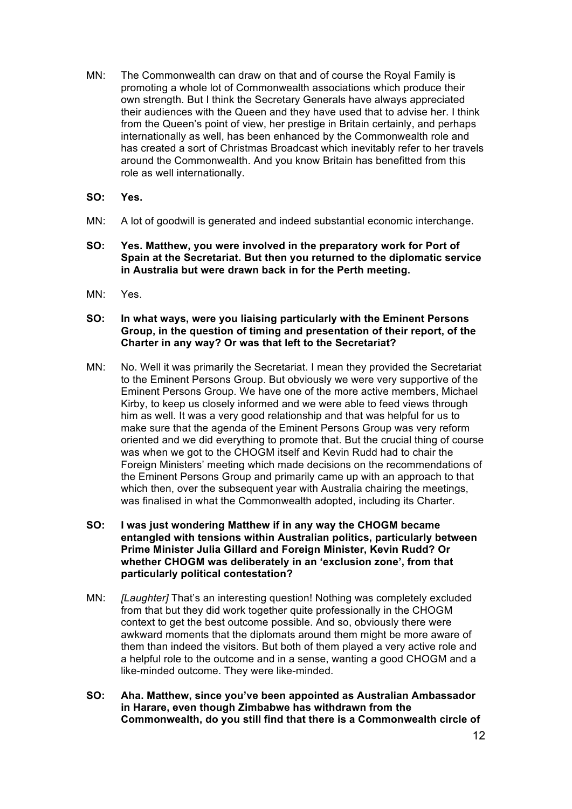- MN: The Commonwealth can draw on that and of course the Royal Family is promoting a whole lot of Commonwealth associations which produce their own strength. But I think the Secretary Generals have always appreciated their audiences with the Queen and they have used that to advise her. I think from the Queen's point of view, her prestige in Britain certainly, and perhaps internationally as well, has been enhanced by the Commonwealth role and has created a sort of Christmas Broadcast which inevitably refer to her travels around the Commonwealth. And you know Britain has benefitted from this role as well internationally.
- **SO: Yes.**
- MN: A lot of goodwill is generated and indeed substantial economic interchange.
- **SO: Yes. Matthew, you were involved in the preparatory work for Port of Spain at the Secretariat. But then you returned to the diplomatic service in Australia but were drawn back in for the Perth meeting.**
- MN: Yes.
- **SO: In what ways, were you liaising particularly with the Eminent Persons Group, in the question of timing and presentation of their report, of the Charter in any way? Or was that left to the Secretariat?**
- MN: No. Well it was primarily the Secretariat. I mean they provided the Secretariat to the Eminent Persons Group. But obviously we were very supportive of the Eminent Persons Group. We have one of the more active members, Michael Kirby, to keep us closely informed and we were able to feed views through him as well. It was a very good relationship and that was helpful for us to make sure that the agenda of the Eminent Persons Group was very reform oriented and we did everything to promote that. But the crucial thing of course was when we got to the CHOGM itself and Kevin Rudd had to chair the Foreign Ministers' meeting which made decisions on the recommendations of the Eminent Persons Group and primarily came up with an approach to that which then, over the subsequent year with Australia chairing the meetings, was finalised in what the Commonwealth adopted, including its Charter.
- **SO: I was just wondering Matthew if in any way the CHOGM became entangled with tensions within Australian politics, particularly between Prime Minister Julia Gillard and Foreign Minister, Kevin Rudd? Or whether CHOGM was deliberately in an 'exclusion zone', from that particularly political contestation?**
- MN: *[Laughter]* That's an interesting question! Nothing was completely excluded from that but they did work together quite professionally in the CHOGM context to get the best outcome possible. And so, obviously there were awkward moments that the diplomats around them might be more aware of them than indeed the visitors. But both of them played a very active role and a helpful role to the outcome and in a sense, wanting a good CHOGM and a like-minded outcome. They were like-minded.
- **SO: Aha. Matthew, since you've been appointed as Australian Ambassador in Harare, even though Zimbabwe has withdrawn from the Commonwealth, do you still find that there is a Commonwealth circle of**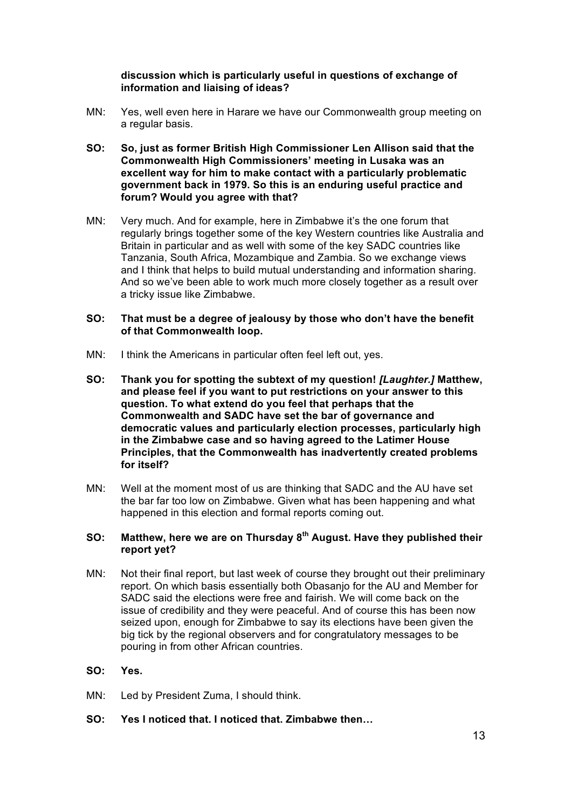### **discussion which is particularly useful in questions of exchange of information and liaising of ideas?**

- MN: Yes, well even here in Harare we have our Commonwealth group meeting on a regular basis.
- **SO: So, just as former British High Commissioner Len Allison said that the Commonwealth High Commissioners' meeting in Lusaka was an excellent way for him to make contact with a particularly problematic government back in 1979. So this is an enduring useful practice and forum? Would you agree with that?**
- MN: Very much. And for example, here in Zimbabwe it's the one forum that regularly brings together some of the key Western countries like Australia and Britain in particular and as well with some of the key SADC countries like Tanzania, South Africa, Mozambique and Zambia. So we exchange views and I think that helps to build mutual understanding and information sharing. And so we've been able to work much more closely together as a result over a tricky issue like Zimbabwe.

#### **SO: That must be a degree of jealousy by those who don't have the benefit of that Commonwealth loop.**

- MN: I think the Americans in particular often feel left out, yes.
- **SO: Thank you for spotting the subtext of my question!** *[Laughter.]* **Matthew, and please feel if you want to put restrictions on your answer to this question. To what extend do you feel that perhaps that the Commonwealth and SADC have set the bar of governance and democratic values and particularly election processes, particularly high in the Zimbabwe case and so having agreed to the Latimer House Principles, that the Commonwealth has inadvertently created problems for itself?**
- MN: Well at the moment most of us are thinking that SADC and the AU have set the bar far too low on Zimbabwe. Given what has been happening and what happened in this election and formal reports coming out.

# **SO: Matthew, here we are on Thursday 8th August. Have they published their report yet?**

MN: Not their final report, but last week of course they brought out their preliminary report. On which basis essentially both Obasanjo for the AU and Member for SADC said the elections were free and fairish. We will come back on the issue of credibility and they were peaceful. And of course this has been now seized upon, enough for Zimbabwe to say its elections have been given the big tick by the regional observers and for congratulatory messages to be pouring in from other African countries.

# **SO: Yes.**

- MN: Led by President Zuma, I should think.
- **SO: Yes I noticed that. I noticed that. Zimbabwe then…**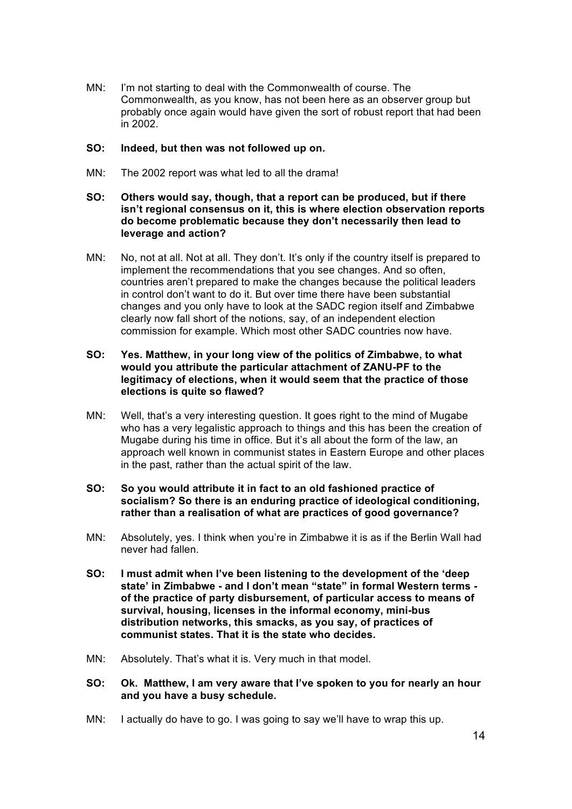MN: I'm not starting to deal with the Commonwealth of course. The Commonwealth, as you know, has not been here as an observer group but probably once again would have given the sort of robust report that had been in 2002.

#### **SO: Indeed, but then was not followed up on.**

- MN: The 2002 report was what led to all the drama!
- **SO: Others would say, though, that a report can be produced, but if there isn't regional consensus on it, this is where election observation reports do become problematic because they don't necessarily then lead to leverage and action?**
- MN: No, not at all. Not at all. They don't. It's only if the country itself is prepared to implement the recommendations that you see changes. And so often, countries aren't prepared to make the changes because the political leaders in control don't want to do it. But over time there have been substantial changes and you only have to look at the SADC region itself and Zimbabwe clearly now fall short of the notions, say, of an independent election commission for example. Which most other SADC countries now have.

### **SO: Yes. Matthew, in your long view of the politics of Zimbabwe, to what would you attribute the particular attachment of ZANU-PF to the legitimacy of elections, when it would seem that the practice of those elections is quite so flawed?**

- MN: Well, that's a very interesting question. It goes right to the mind of Mugabe who has a very legalistic approach to things and this has been the creation of Mugabe during his time in office. But it's all about the form of the law, an approach well known in communist states in Eastern Europe and other places in the past, rather than the actual spirit of the law.
- **SO: So you would attribute it in fact to an old fashioned practice of socialism? So there is an enduring practice of ideological conditioning, rather than a realisation of what are practices of good governance?**
- MN: Absolutely, yes. I think when you're in Zimbabwe it is as if the Berlin Wall had never had fallen.
- **SO: I must admit when I've been listening to the development of the 'deep state' in Zimbabwe - and I don't mean "state" in formal Western terms of the practice of party disbursement, of particular access to means of survival, housing, licenses in the informal economy, mini-bus distribution networks, this smacks, as you say, of practices of communist states. That it is the state who decides.**
- MN: Absolutely. That's what it is. Very much in that model.
- **SO: Ok. Matthew, I am very aware that I've spoken to you for nearly an hour and you have a busy schedule.**
- MN: I actually do have to go. I was going to say we'll have to wrap this up.